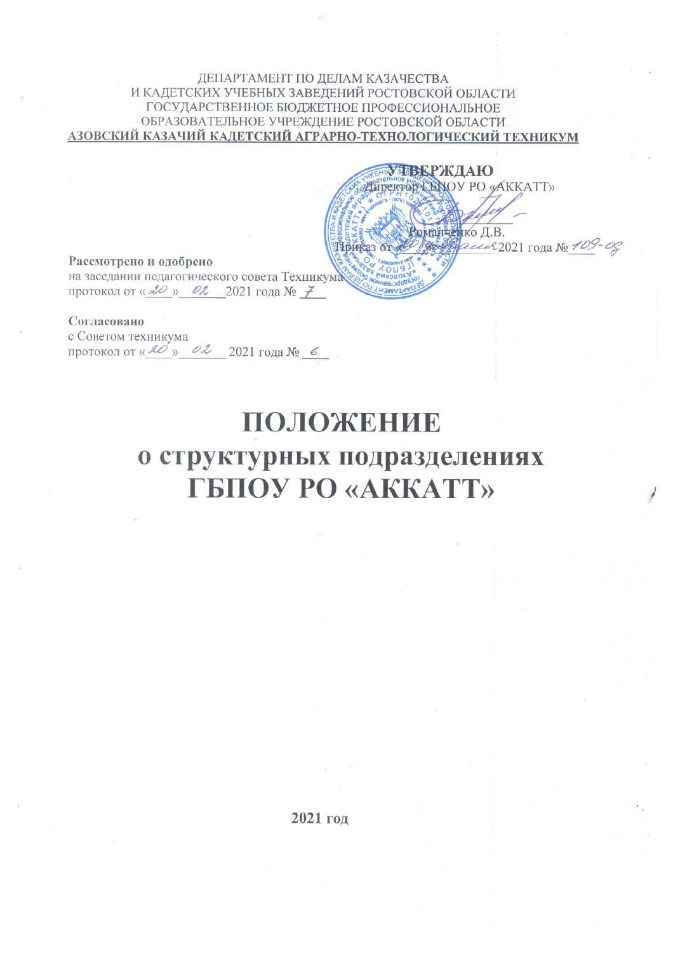#### ДЕПАРТАМЕНТ ПО ДЕЛАМ КАЗАЧЕСТВА И КАДЕТСКИХ УЧЕБНЫХ ЗАВЕДЕНИЙ РОСТОВСКОЙ ОБЛАСТИ ГОСУДАРСТВЕННОЕ БЮДЖЕТНОЕ ПРОФЕССИОНАЛЬНОЕ ОБРАЗОВАТЕЛЬНОЕ УЧРЕЖДЕНИЕ РОСТОВСКОЙ ОБЛАСТИ АЗОВСКИЙ КАЗАЧИЙ КАДЕТСКИЙ АГРАРНО-ТЕХНОЛОГИЧЕСКИЙ ТЕХНИКУМ

**ПВЕРЖДАЮ** THPERTON LENOY PO «AKKATT» Зоманненко Д.В. December 2021 года No 109-00 Приказ от

Рассмотрено и одобрено на заседании педагогического совета Техникума протокол от « 20 » Ол 2021 года № 7

Согласовано с Советом техникума протокол от « 20 » од 2021 года  $N_2$  6

# ПОЛОЖЕНИЕ о структурных подразделениях **TEHOY PO «AKKATT»**

2021 год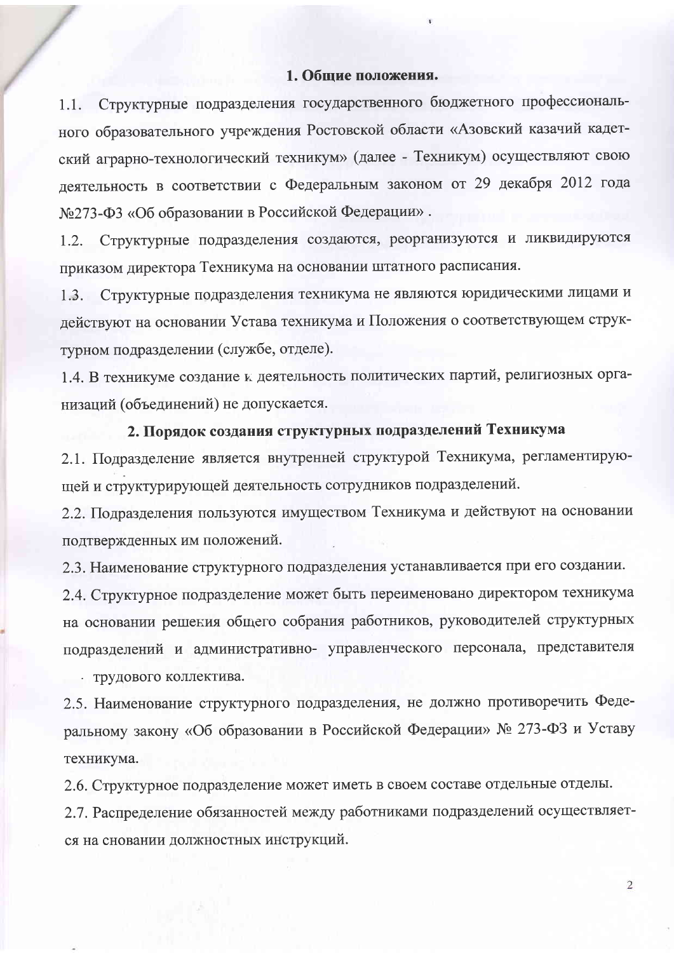#### 1. Общие положения.

Структурные подразделения государственного бюджетного профессиональ-1.1. ного образовательного учреждения Ростовской области «Азовский казачий кадетский аграрно-технологический техникум» (далее - Техникум) осуществляют свою деятельность в соответствии с Федеральным законом от 29 декабря 2012 года №273-ФЗ «Об образовании в Российской Федерации».

Структурные подразделения создаются, реорганизуются и ликвидируются 1.2. приказом директора Техникума на основании штатного расписания.

1.3. Структурные подразделения техникума не являются юридическими лицами и действуют на основании Устава техникума и Положения о соответствующем структурном подразделении (службе, отделе).

1.4. В техникуме создание к деятельность политических партий, религиозных организаций (объединений) не допускается.

# 2. Порядок создания структурных подразделений Техникума

2.1. Подразделение является внутренней структурой Техникума, регламентирующей и структурирующей деятельность сотрудников подразделений.

2.2. Подразделения пользуются имуществом Техникума и действуют на основании подтвержденных им положений.

2.3. Наименование структурного подразделения устанавливается при его создании.

2.4. Структурное подразделение может быть переименовано директором техникума на основании решения общего собрания работников, руководителей структурных подразделений и административно- управленческого персонала, представителя

• трудового коллектива.

2.5. Наименование структурного подразделения, не должно противоречить Федеральному закону «Об образовании в Российской Федерации» № 273-ФЗ и Уставу техникума.

2.6. Структурное подразделение может иметь в своем составе отдельные отделы.

2.7. Распределение обязанностей между работниками подразделений осуществляется на сновании должностных инструкций.

 $\overline{2}$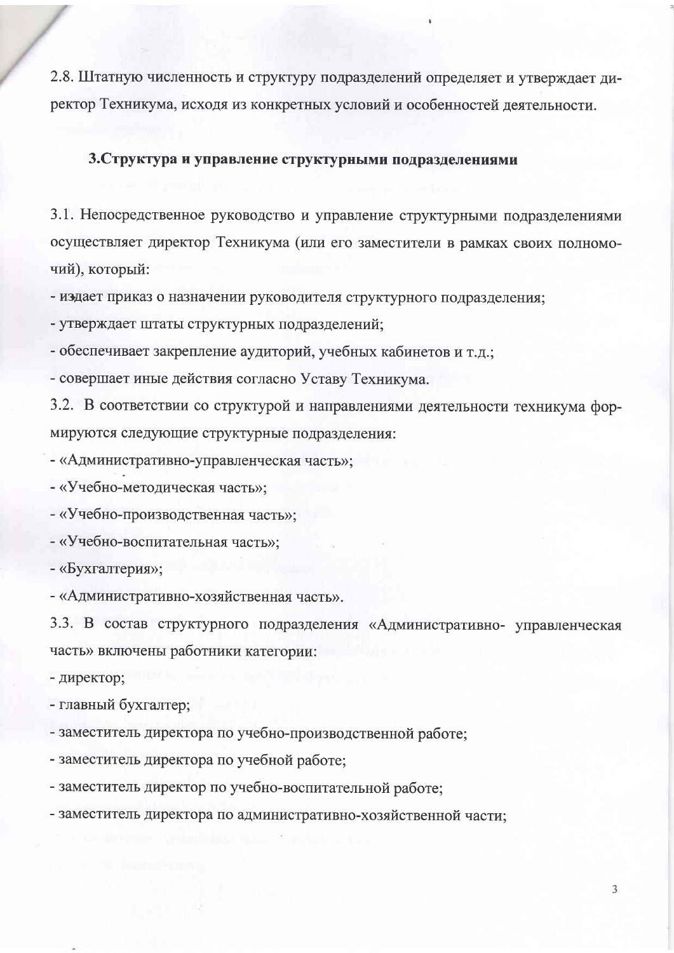2.8. Штатную численность и структуру подразделений определяет и утверждает директор Техникума, исходя из конкретных условий и особенностей деятельности.

### 3. Структура и управление структурными подразделениями

3.1. Непосредственное руководство и управление структурными подразделениями осуществляет директор Техникума (или его заместители в рамках своих полномочий), который:

- издает приказ о назначении руководителя структурного подразделения;

- утверждает штаты структурных подразделений;

- обеспечивает закрепление аудиторий, учебных кабинетов и т.д.;

- совершает иные действия согласно Уставу Техникума.

3.2. В соответствии со структурой и направлениями деятельности техникума формируются следующие структурные подразделения:

- «Административно-управленческая часть»;

- «Учебно-методическая часть»;

- «Учебно-производственная часть»;

- «Учебно-воспитательная часть»;

- «Бухгалтерия»;

- «Административно-хозяйственная часть».

3.3. В состав структурного подразделения «Административно- управленческая часть» включены работники категории:

- директор;

- главный бухгалтер;

- заместитель директора по учебно-производственной работе;

- заместитель директора по учебной работе;

- заместитель директор по учебно-воспитательной работе;

- заместитель директора по административно-хозяйственной части;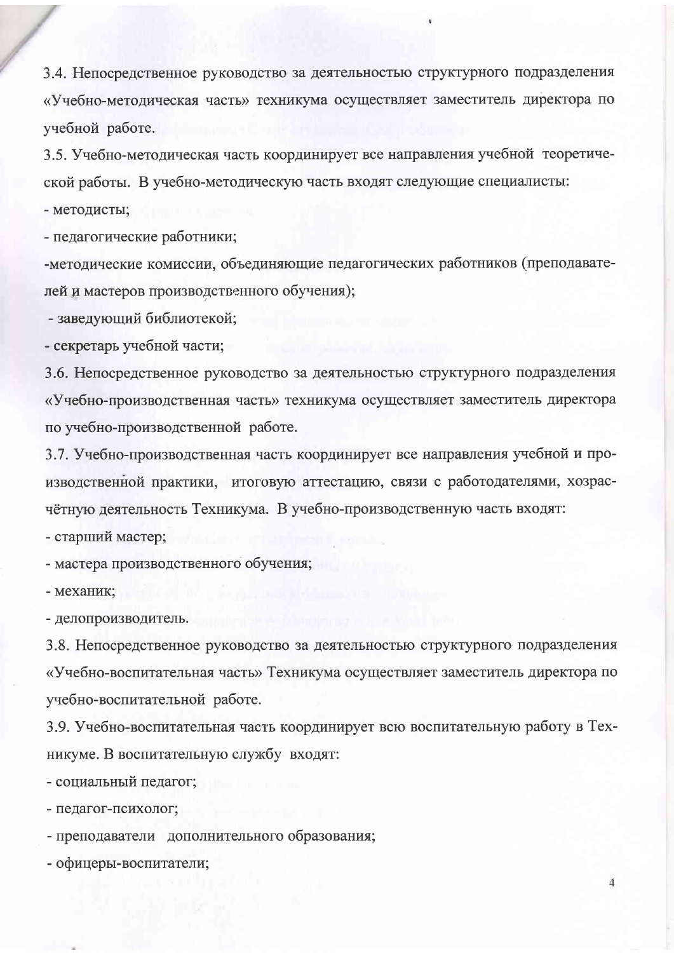3.4. Непосредственное руководство за деятельностью структурного подразделения «Учебно-методическая часть» техникума осуществляет заместитель директора по учебной работе.

3.5. Учебно-методическая часть координирует все направления учебной теоретической работы. В учебно-методическую часть входят следующие специалисты:

- методисты;

- педагогические работники;

-методические комиссии, объединяющие педагогических работников (преподавателей и мастеров производственного обучения);

- заведующий библиотекой;

- секретарь учебной части;

3.6. Непосредственное руководство за деятельностью структурного подразделения «Учебно-производственная часть» техникума осуществляет заместитель директора по учебно-производственной работе.

3.7. Учебно-производственная часть координирует все направления учебной и производственной практики, итоговую аттестацию, связи с работодателями, хозрасчётную деятельность Техникума. В учебно-производственную часть входят:

- старший мастер;

- мастера производственного обучения;

- механик;

- делопроизводитель.

3.8. Непосредственное руководство за деятельностью структурного подразделения «Учебно-воспитательная часть» Техникума осуществляет заместитель директора по учебно-воспитательной работе.

3.9. Учебно-воспитательная часть координирует всю воспитательную работу в Техникуме. В воспитательную службу входят:

- социальный педагог;

- педагог-психолог;

- преподаватели дополнительного образования;

- офицеры-воспитатели;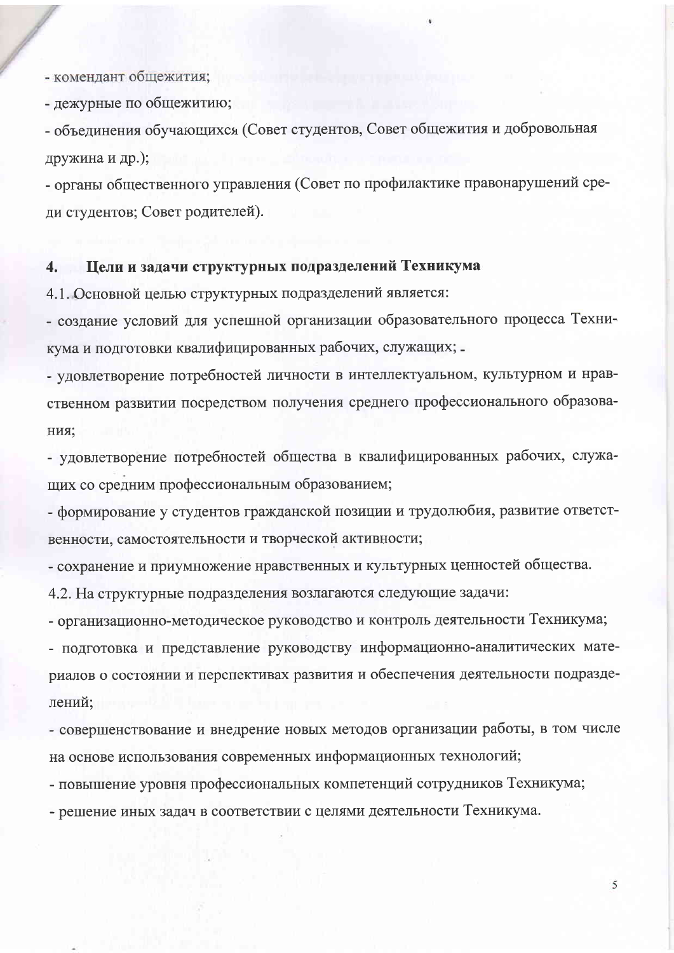- комендант общежития;

- дежурные по общежитию;

- объединения обучающихся (Совет студентов, Совет общежития и добровольная дружина и др.);

- органы общественного управления (Совет по профилактике правонарушений среди студентов; Совет родителей).

#### Цели и задачи структурных подразделений Техникума  $\overline{4}$ .

4.1. Основной целью структурных подразделений является:

- создание условий для успешной организации образовательного процесса Техникума и подготовки квалифицированных рабочих, служащих; -

- удовлетворение потребностей личности в интеллектуальном, культурном и нравственном развитии посредством получения среднего профессионального образования;

- удовлетворение потребностей общества в квалифицированных рабочих, служащих со средним профессиональным образованием;

- формирование у студентов гражданской позиции и трудолюбия, развитие ответственности, самостоятельности и творческой активности;

- сохранение и приумножение нравственных и культурных ценностей общества.

4.2. На структурные подразделения возлагаются следующие задачи:

- организационно-методическое руководство и контроль деятельности Техникума;

- подготовка и представление руководству информационно-аналитических материалов о состоянии и перспективах развития и обеспечения деятельности подразделений:

- совершенствование и внедрение новых методов организации работы, в том числе на основе использования современных информационных технологий;

- повышение уровня профессиональных компетенций сотрудников Техникума;

- решение иных задач в соответствии с целями деятельности Техникума.

5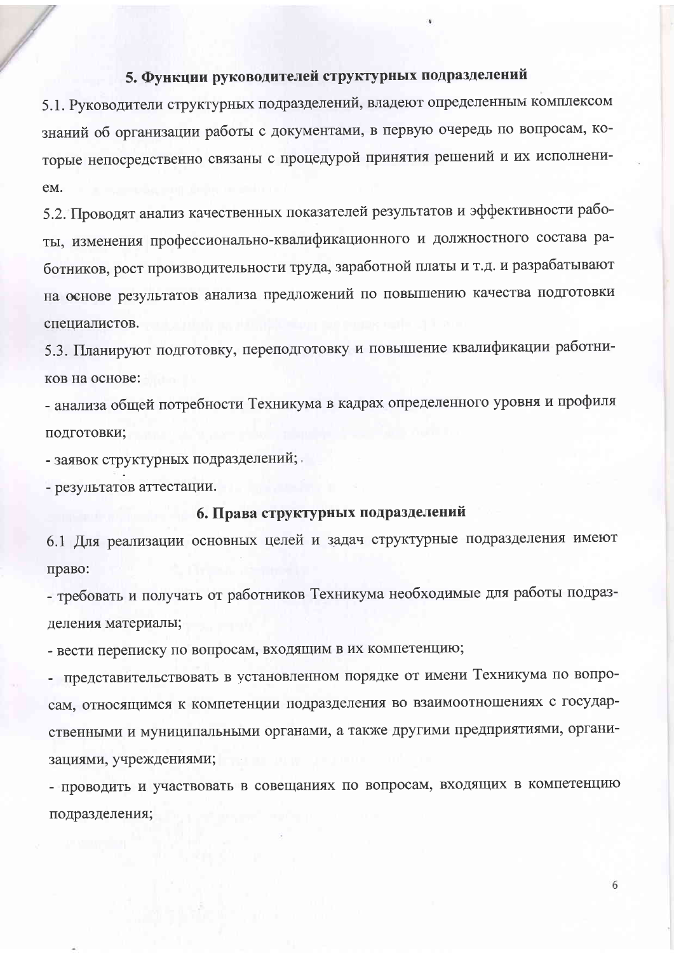## 5. Функции руководителей структурных подразделений

5.1. Руководители структурных подразделений, владеют определенным комплексом знаний об организации работы с документами, в первую очередь по вопросам, которые непосредственно связаны с процедурой принятия решений и их исполнениe<sub>M</sub>.

5.2. Проводят анализ качественных показателей результатов и эффективности работы, изменения профессионально-квалификационного и должностного состава работников, рост производительности труда, заработной платы и т.д. и разрабатывают на основе результатов анализа предложений по повышению качества подготовки специалистов.

5.3. Планируют подготовку, переподготовку и повышение квалификации работников на основе:

- анализа общей потребности Техникума в кадрах определенного уровня и профиля подготовки;

- заявок структурных подразделений;

- результатов аттестации.

#### 6. Права структурных подразделений

6.1 Для реализации основных целей и задач структурные подразделения имеют право:

- требовать и получать от работников Техникума необходимые для работы подразделения материалы;

- вести переписку по вопросам, входящим в их компетенцию;

- представительствовать в установленном порядке от имени Техникума по вопросам, относящимся к компетенции подразделения во взаимоотношениях с государственными и муниципальными органами, а также другими предприятиями, организациями, учреждениями;

- проводить и участвовать в совещаниях по вопросам, входящих в компетенцию подразделения;

6